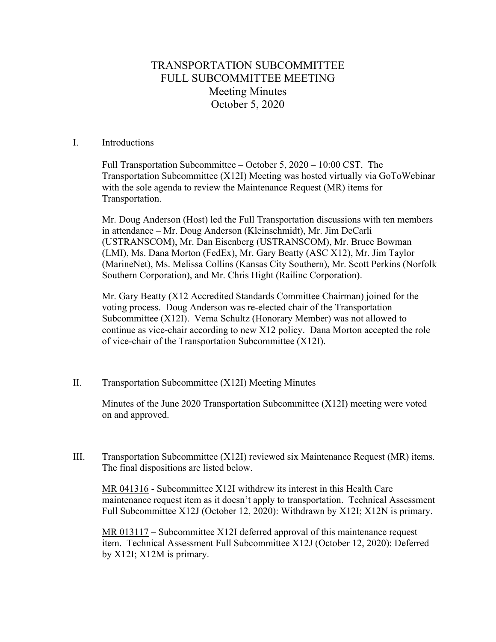## TRANSPORTATION SUBCOMMITTEE FULL SUBCOMMITTEE MEETING Meeting Minutes October 5, 2020

## I. Introductions

Full Transportation Subcommittee – October 5, 2020 – 10:00 CST. The Transportation Subcommittee (X12I) Meeting was hosted virtually via GoToWebinar with the sole agenda to review the Maintenance Request (MR) items for Transportation.

Mr. Doug Anderson (Host) led the Full Transportation discussions with ten members in attendance – Mr. Doug Anderson (Kleinschmidt), Mr. Jim DeCarli (USTRANSCOM), Mr. Dan Eisenberg (USTRANSCOM), Mr. Bruce Bowman (LMI), Ms. Dana Morton (FedEx), Mr. Gary Beatty (ASC X12), Mr. Jim Taylor (MarineNet), Ms. Melissa Collins (Kansas City Southern), Mr. Scott Perkins (Norfolk Southern Corporation), and Mr. Chris Hight (Railinc Corporation).

Mr. Gary Beatty (X12 Accredited Standards Committee Chairman) joined for the voting process. Doug Anderson was re-elected chair of the Transportation Subcommittee (X12I). Verna Schultz (Honorary Member) was not allowed to continue as vice-chair according to new X12 policy. Dana Morton accepted the role of vice-chair of the Transportation Subcommittee (X12I).

II. Transportation Subcommittee (X12I) Meeting Minutes

Minutes of the June 2020 Transportation Subcommittee (X12I) meeting were voted on and approved.

III. Transportation Subcommittee (X12I) reviewed six Maintenance Request (MR) items. The final dispositions are listed below.

MR 041316 - Subcommittee X12I withdrew its interest in this Health Care maintenance request item as it doesn't apply to transportation. Technical Assessment Full Subcommittee X12J (October 12, 2020): Withdrawn by X12I; X12N is primary.

MR 013117 – Subcommittee X12I deferred approval of this maintenance request item. Technical Assessment Full Subcommittee X12J (October 12, 2020): Deferred by X12I; X12M is primary.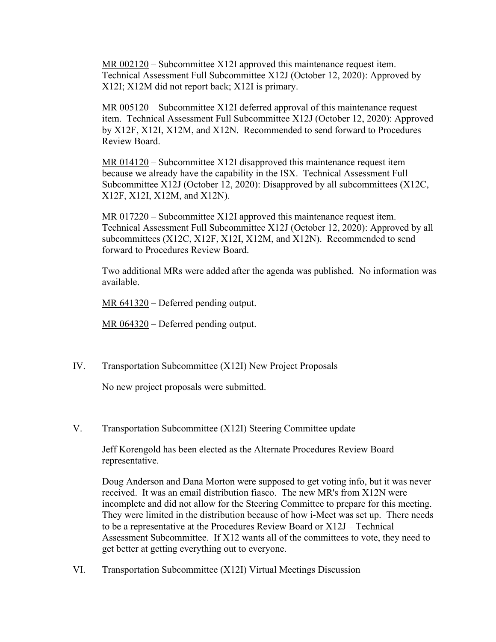MR 002120 – Subcommittee X12I approved this maintenance request item. Technical Assessment Full Subcommittee X12J (October 12, 2020): Approved by X12I; X12M did not report back; X12I is primary.

MR 005120 – Subcommittee X12I deferred approval of this maintenance request item. Technical Assessment Full Subcommittee X12J (October 12, 2020): Approved by X12F, X12I, X12M, and X12N. Recommended to send forward to Procedures Review Board.

 $MR$  014120 – Subcommittee X12I disapproved this maintenance request item because we already have the capability in the ISX. Technical Assessment Full Subcommittee X12J (October 12, 2020): Disapproved by all subcommittees (X12C, X12F, X12I, X12M, and X12N).

MR 017220 – Subcommittee X12I approved this maintenance request item. Technical Assessment Full Subcommittee X12J (October 12, 2020): Approved by all subcommittees (X12C, X12F, X12I, X12M, and X12N). Recommended to send forward to Procedures Review Board.

Two additional MRs were added after the agenda was published. No information was available.

MR 641320 – Deferred pending output.

MR 064320 – Deferred pending output.

IV. Transportation Subcommittee (X12I) New Project Proposals

No new project proposals were submitted.

V. Transportation Subcommittee (X12I) Steering Committee update

Jeff Korengold has been elected as the Alternate Procedures Review Board representative.

Doug Anderson and Dana Morton were supposed to get voting info, but it was never received. It was an email distribution fiasco. The new MR's from X12N were incomplete and did not allow for the Steering Committee to prepare for this meeting. They were limited in the distribution because of how i-Meet was set up. There needs to be a representative at the Procedures Review Board or X12J – Technical Assessment Subcommittee. If X12 wants all of the committees to vote, they need to get better at getting everything out to everyone.

VI. Transportation Subcommittee (X12I) Virtual Meetings Discussion